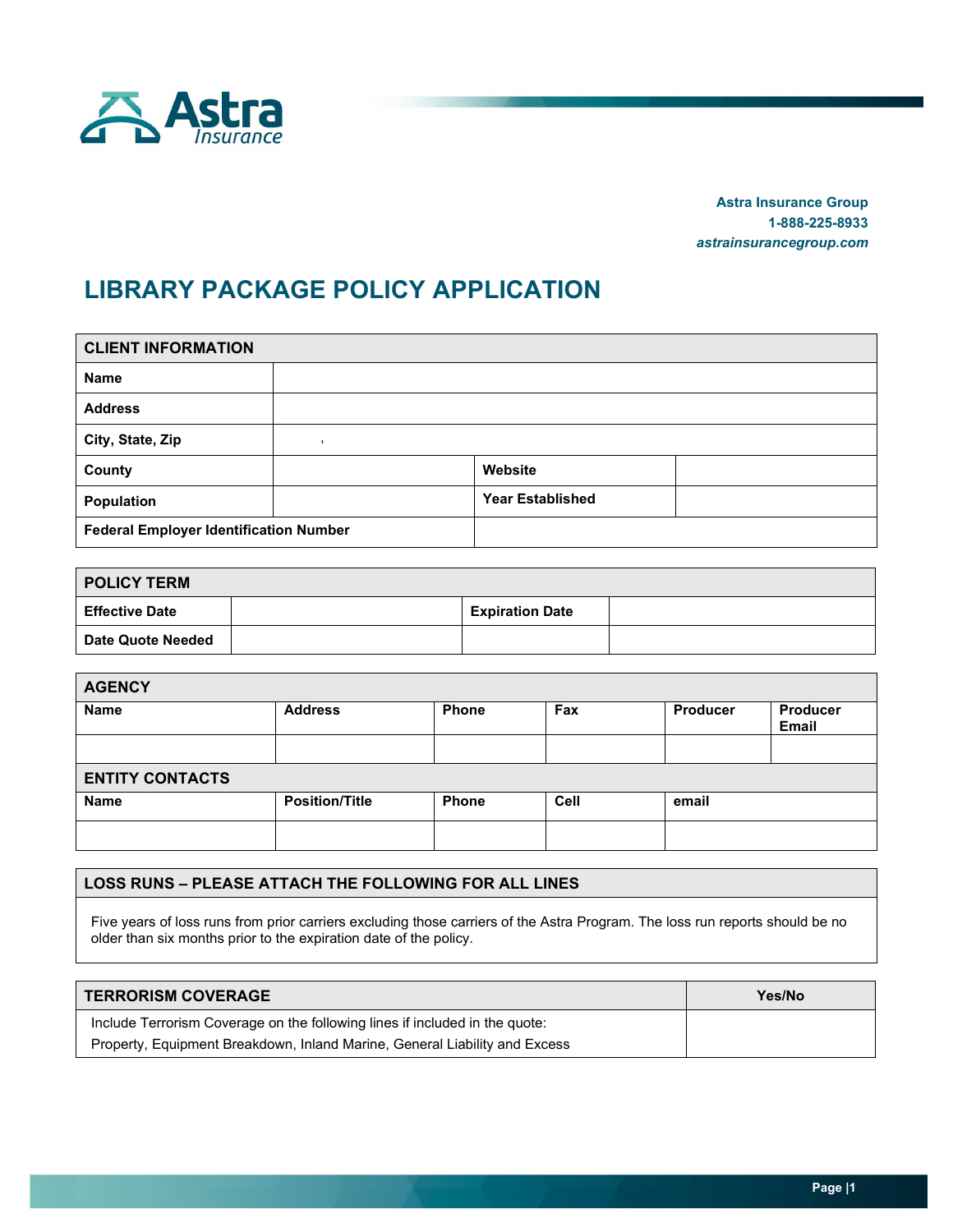

**Astra Insurance Group 1-888-225-8933** *astrainsurancegroup.com*

# **LIBRARY PACKAGE POLICY APPLICATION**

| <b>CLIENT INFORMATION</b>                     |  |                         |  |  |  |  |  |  |
|-----------------------------------------------|--|-------------------------|--|--|--|--|--|--|
| <b>Name</b>                                   |  |                         |  |  |  |  |  |  |
| <b>Address</b>                                |  |                         |  |  |  |  |  |  |
| City, State, Zip                              |  |                         |  |  |  |  |  |  |
| County                                        |  | Website                 |  |  |  |  |  |  |
| Population                                    |  | <b>Year Established</b> |  |  |  |  |  |  |
| <b>Federal Employer Identification Number</b> |  |                         |  |  |  |  |  |  |

| <b>POLICY TERM</b>       |  |                        |  |  |  |  |
|--------------------------|--|------------------------|--|--|--|--|
| <b>Effective Date</b>    |  | <b>Expiration Date</b> |  |  |  |  |
| <b>Date Quote Needed</b> |  |                        |  |  |  |  |

| <b>AGENCY</b>          |                       |              |      |          |                          |  |
|------------------------|-----------------------|--------------|------|----------|--------------------------|--|
| <b>Name</b>            | <b>Address</b>        | <b>Phone</b> | Fax  | Producer | Producer<br><b>Email</b> |  |
|                        |                       |              |      |          |                          |  |
| <b>ENTITY CONTACTS</b> |                       |              |      |          |                          |  |
| <b>Name</b>            | <b>Position/Title</b> | <b>Phone</b> | Cell | email    |                          |  |
|                        |                       |              |      |          |                          |  |

#### **LOSS RUNS – PLEASE ATTACH THE FOLLOWING FOR ALL LINES**

Five years of loss runs from prior carriers excluding those carriers of the Astra Program. The loss run reports should be no older than six months prior to the expiration date of the policy.

| <b>TERRORISM COVERAGE</b>                                                   | Yes/No |
|-----------------------------------------------------------------------------|--------|
| Include Terrorism Coverage on the following lines if included in the quote: |        |
| Property, Equipment Breakdown, Inland Marine, General Liability and Excess  |        |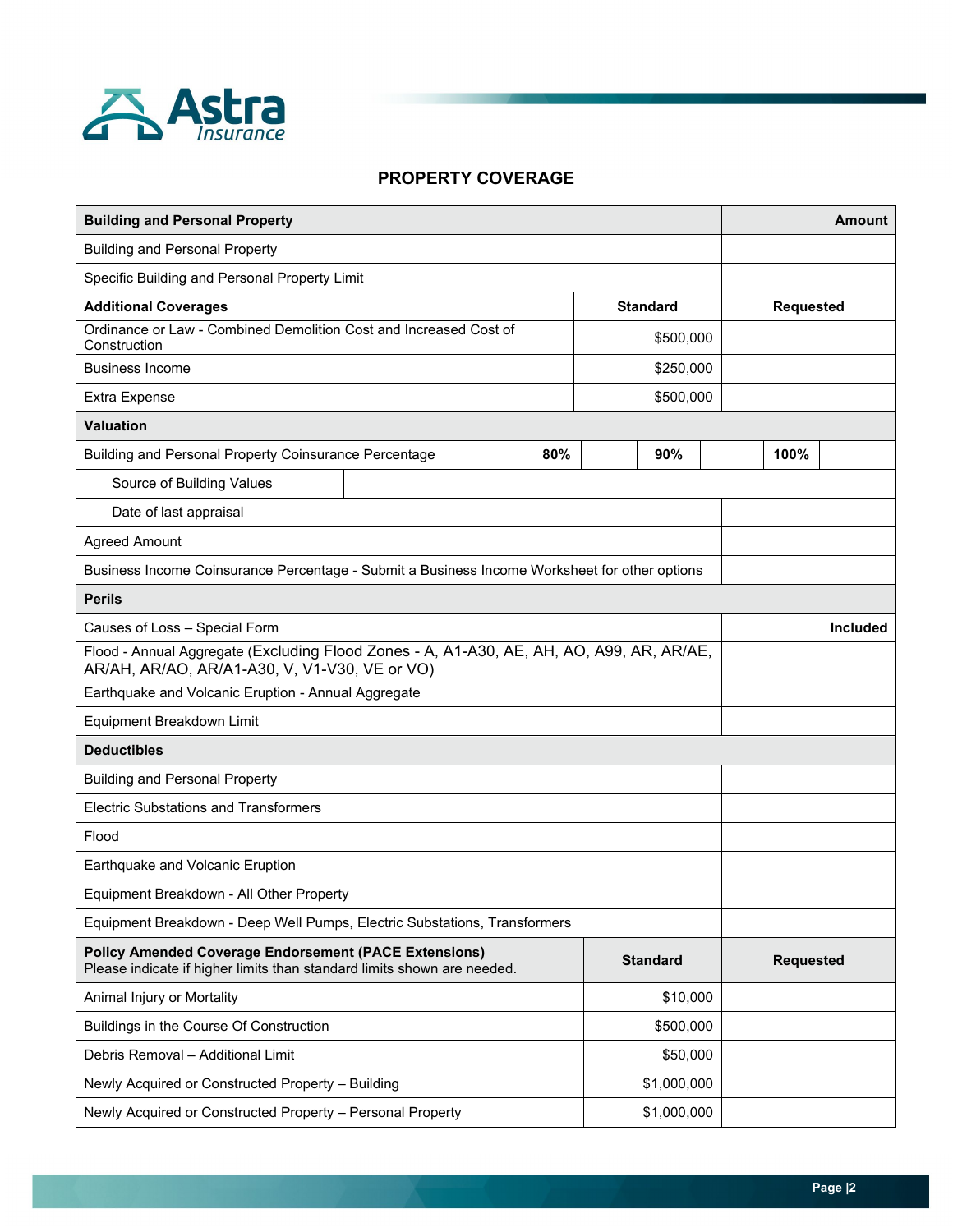

#### **PROPERTY COVERAGE**

| <b>Building and Personal Property</b>                                                                                                     |     |  |                 |  |                  | <b>Amount</b>   |
|-------------------------------------------------------------------------------------------------------------------------------------------|-----|--|-----------------|--|------------------|-----------------|
| <b>Building and Personal Property</b>                                                                                                     |     |  |                 |  |                  |                 |
| Specific Building and Personal Property Limit                                                                                             |     |  |                 |  |                  |                 |
| <b>Additional Coverages</b>                                                                                                               |     |  | <b>Standard</b> |  | <b>Requested</b> |                 |
| Ordinance or Law - Combined Demolition Cost and Increased Cost of<br>Construction                                                         |     |  | \$500,000       |  |                  |                 |
| <b>Business Income</b>                                                                                                                    |     |  | \$250,000       |  |                  |                 |
| Extra Expense                                                                                                                             |     |  | \$500,000       |  |                  |                 |
| <b>Valuation</b>                                                                                                                          |     |  |                 |  |                  |                 |
| Building and Personal Property Coinsurance Percentage                                                                                     | 80% |  | 90%             |  | 100%             |                 |
| Source of Building Values                                                                                                                 |     |  |                 |  |                  |                 |
| Date of last appraisal                                                                                                                    |     |  |                 |  |                  |                 |
| <b>Agreed Amount</b>                                                                                                                      |     |  |                 |  |                  |                 |
| Business Income Coinsurance Percentage - Submit a Business Income Worksheet for other options                                             |     |  |                 |  |                  |                 |
| <b>Perils</b>                                                                                                                             |     |  |                 |  |                  |                 |
| Causes of Loss - Special Form                                                                                                             |     |  |                 |  |                  | <b>Included</b> |
| Flood - Annual Aggregate (Excluding Flood Zones - A, A1-A30, AE, AH, AO, A99, AR, AR/AE,<br>AR/AH, AR/AO, AR/A1-A30, V, V1-V30, VE or VO) |     |  |                 |  |                  |                 |
| Earthquake and Volcanic Eruption - Annual Aggregate                                                                                       |     |  |                 |  |                  |                 |
| Equipment Breakdown Limit                                                                                                                 |     |  |                 |  |                  |                 |
| <b>Deductibles</b>                                                                                                                        |     |  |                 |  |                  |                 |
| <b>Building and Personal Property</b>                                                                                                     |     |  |                 |  |                  |                 |
| <b>Electric Substations and Transformers</b>                                                                                              |     |  |                 |  |                  |                 |
| Flood                                                                                                                                     |     |  |                 |  |                  |                 |
| Earthquake and Volcanic Eruption                                                                                                          |     |  |                 |  |                  |                 |
| Equipment Breakdown - All Other Property                                                                                                  |     |  |                 |  |                  |                 |
| Equipment Breakdown - Deep Well Pumps, Electric Substations, Transformers                                                                 |     |  |                 |  |                  |                 |
| <b>Policy Amended Coverage Endorsement (PACE Extensions)</b><br>Please indicate if higher limits than standard limits shown are needed.   |     |  | <b>Standard</b> |  | <b>Requested</b> |                 |
| Animal Injury or Mortality                                                                                                                |     |  | \$10,000        |  |                  |                 |
| Buildings in the Course Of Construction<br>\$500,000                                                                                      |     |  |                 |  |                  |                 |
| Debris Removal - Additional Limit<br>\$50,000                                                                                             |     |  |                 |  |                  |                 |
| Newly Acquired or Constructed Property - Building                                                                                         |     |  | \$1,000,000     |  |                  |                 |
| Newly Acquired or Constructed Property - Personal Property<br>\$1,000,000                                                                 |     |  |                 |  |                  |                 |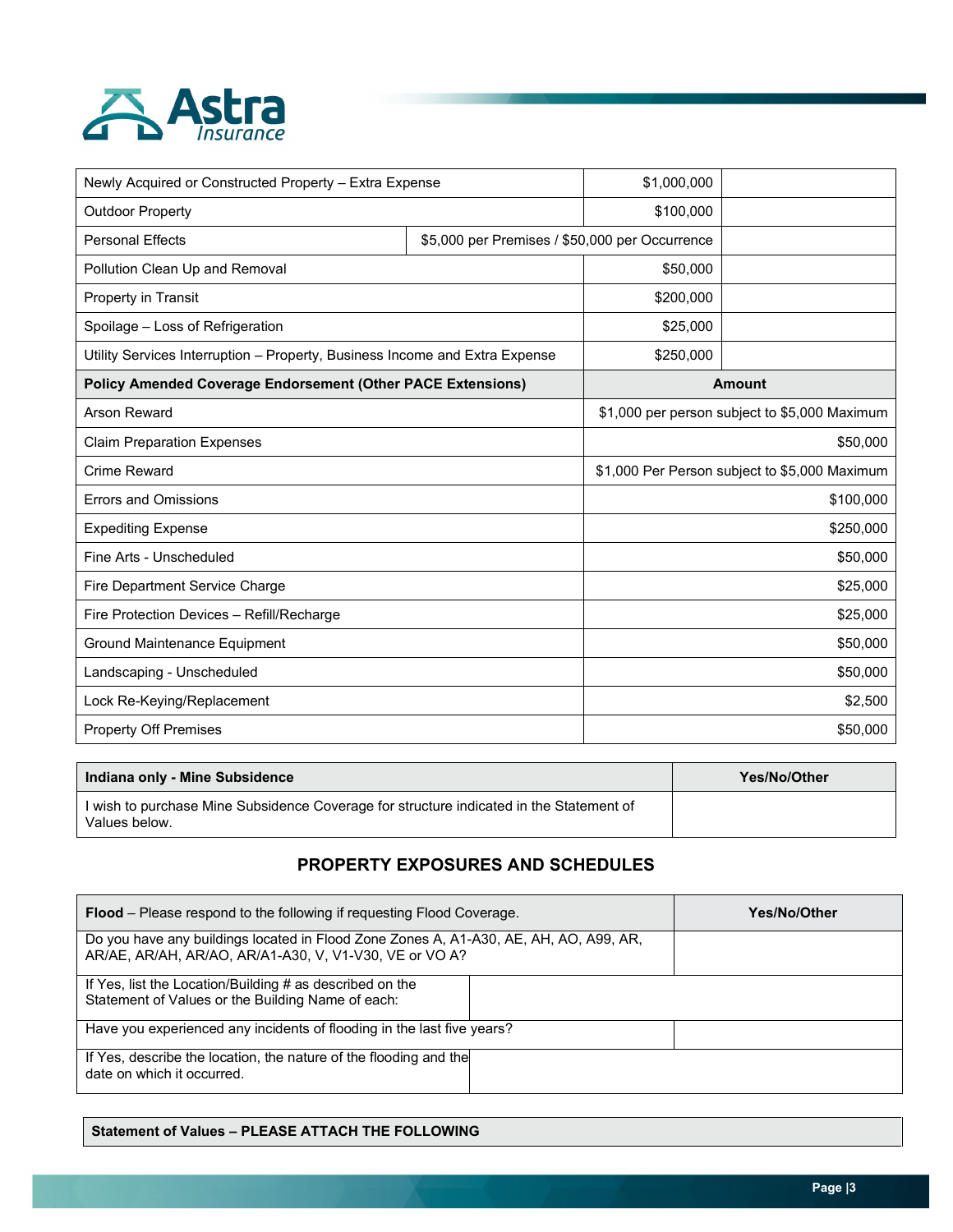

| Newly Acquired or Constructed Property - Extra Expense                      |                                                | \$1,000,000 |                                               |  |
|-----------------------------------------------------------------------------|------------------------------------------------|-------------|-----------------------------------------------|--|
| <b>Outdoor Property</b>                                                     | \$100,000                                      |             |                                               |  |
| <b>Personal Effects</b>                                                     | \$5,000 per Premises / \$50,000 per Occurrence |             |                                               |  |
| Pollution Clean Up and Removal                                              |                                                | \$50,000    |                                               |  |
| Property in Transit                                                         |                                                | \$200,000   |                                               |  |
| Spoilage - Loss of Refrigeration                                            |                                                | \$25,000    |                                               |  |
| Utility Services Interruption - Property, Business Income and Extra Expense |                                                | \$250,000   |                                               |  |
| <b>Policy Amended Coverage Endorsement (Other PACE Extensions)</b>          |                                                |             | <b>Amount</b>                                 |  |
| <b>Arson Reward</b>                                                         |                                                |             | \$1,000 per person subject to \$5,000 Maximum |  |
| <b>Claim Preparation Expenses</b>                                           | \$50,000                                       |             |                                               |  |
| <b>Crime Reward</b>                                                         | \$1,000 Per Person subject to \$5,000 Maximum  |             |                                               |  |
| <b>Errors and Omissions</b>                                                 |                                                | \$100,000   |                                               |  |
| <b>Expediting Expense</b>                                                   |                                                | \$250,000   |                                               |  |
| Fine Arts - Unscheduled                                                     |                                                | \$50,000    |                                               |  |
| Fire Department Service Charge                                              |                                                |             | \$25,000                                      |  |
| Fire Protection Devices - Refill/Recharge                                   |                                                | \$25,000    |                                               |  |
| Ground Maintenance Equipment                                                |                                                | \$50,000    |                                               |  |
| Landscaping - Unscheduled                                                   |                                                | \$50,000    |                                               |  |
| Lock Re-Keying/Replacement                                                  | \$2,500                                        |             |                                               |  |
| <b>Property Off Premises</b>                                                |                                                | \$50,000    |                                               |  |

| Indiana only - Mine Subsidence                                                                           | Yes/No/Other |
|----------------------------------------------------------------------------------------------------------|--------------|
| I wish to purchase Mine Subsidence Coverage for structure indicated in the Statement of<br>Values below. |              |

# **PROPERTY EXPOSURES AND SCHEDULES**

| <b>Flood</b> – Please respond to the following if requesting Flood Coverage.                                                                    | <b>Yes/No/Other</b> |  |
|-------------------------------------------------------------------------------------------------------------------------------------------------|---------------------|--|
| Do you have any buildings located in Flood Zone Zones A, A1-A30, AE, AH, AO, A99, AR,<br>AR/AE, AR/AH, AR/AO, AR/A1-A30, V, V1-V30, VE or VO A? |                     |  |
| If Yes, list the Location/Building # as described on the<br>Statement of Values or the Building Name of each:                                   |                     |  |
| Have you experienced any incidents of flooding in the last five years?                                                                          |                     |  |
| If Yes, describe the location, the nature of the flooding and the<br>date on which it occurred.                                                 |                     |  |

#### **Statement of Values – PLEASE ATTACH THE FOLLOWING**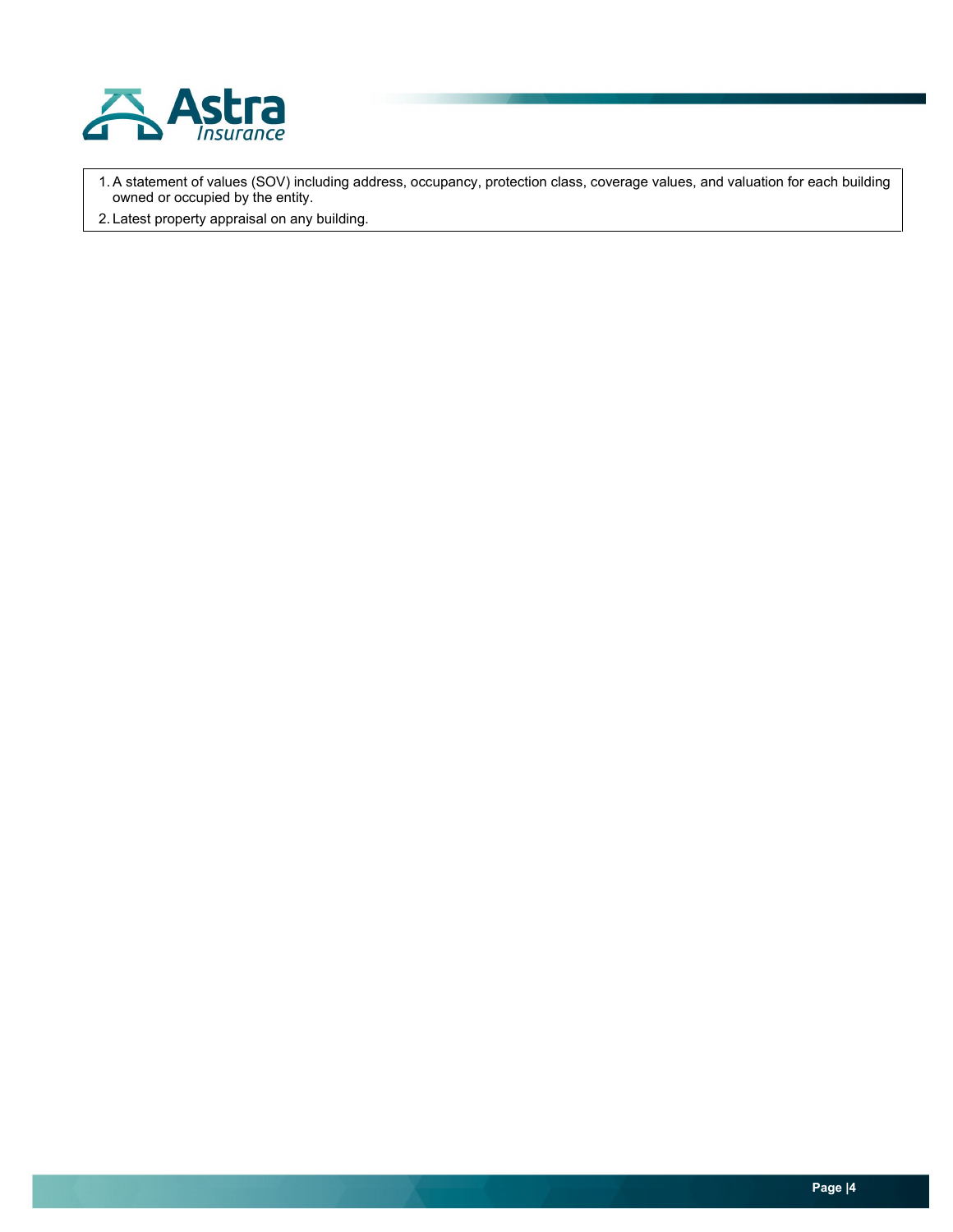

1.A statement of values (SOV) including address, occupancy, protection class, coverage values, and valuation for each building owned or occupied by the entity.

2. Latest property appraisal on any building.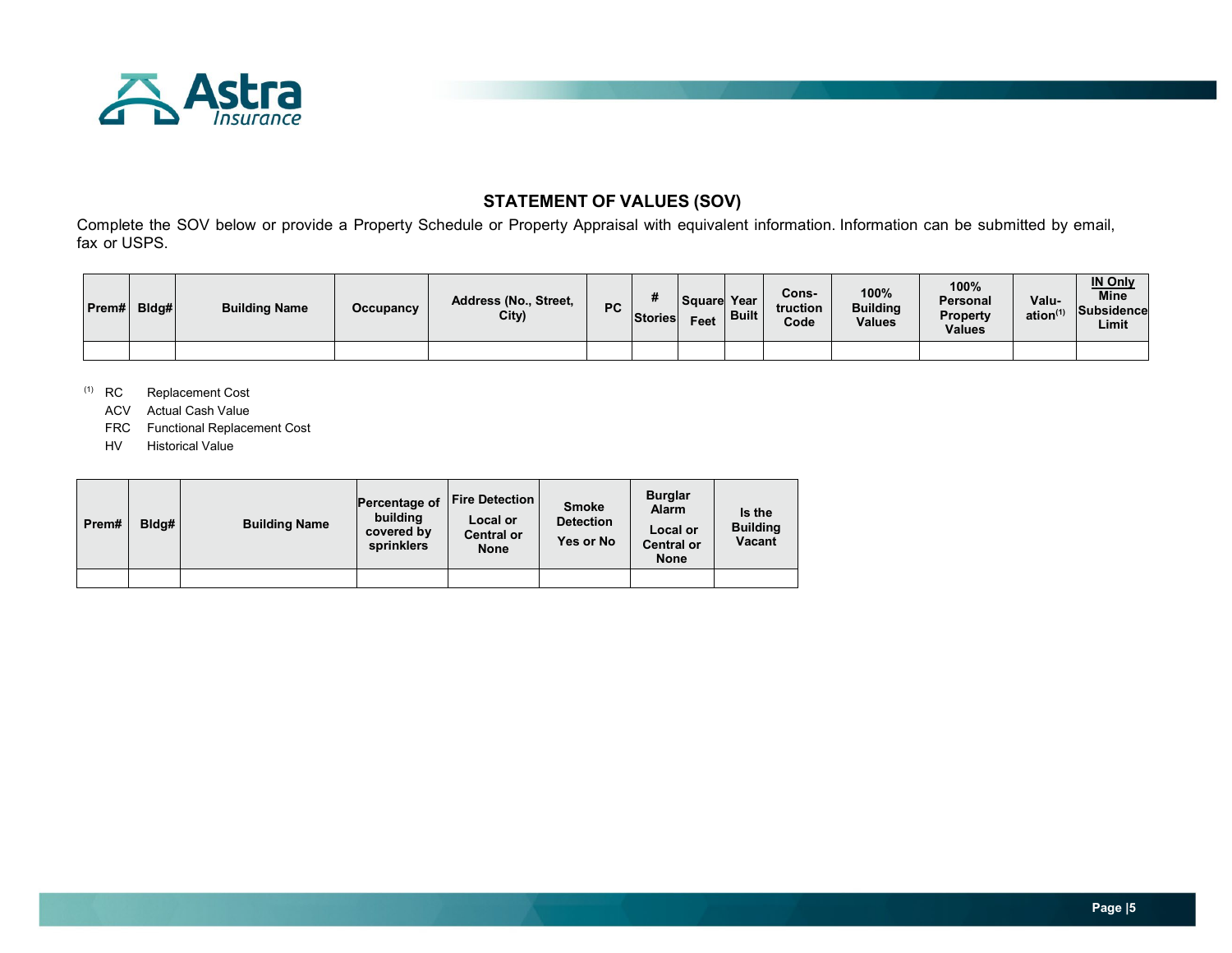

# **STATEMENT OF VALUES (SOV)**

Complete the SOV below or provide a Property Schedule or Property Appraisal with equivalent information. Information can be submitted by email, fax or USPS.

| Prem# | Bldg# | <b>Building Name</b> | Occupancy | Address (No., Street,<br>City) | РC | Stories | Square<br>Feet | Year<br><b>Built</b> | Cons-<br>truction<br>Code | 100%<br><b>Building</b><br><b>Values</b> | 100%<br>Personal<br><b>Property</b><br><b>Values</b> | Valu-<br>ation $(1)$ | <b>IN Only</b><br><b>Mine</b><br>Subsidence<br>Limit |
|-------|-------|----------------------|-----------|--------------------------------|----|---------|----------------|----------------------|---------------------------|------------------------------------------|------------------------------------------------------|----------------------|------------------------------------------------------|
|       |       |                      |           |                                |    |         |                |                      |                           |                                          |                                                      |                      |                                                      |

(1) RC Replacement Cost

ACV Actual Cash Value

- FRC Functional Replacement Cost
- HV Historical Value

| Prem# | Bldg# | <b>Building Name</b> | Percentage of<br>building<br>covered by<br>sprinklers | <b>Fire Detection</b><br>Local or<br><b>Central or</b><br><b>None</b> | <b>Smoke</b><br><b>Detection</b><br>Yes or No | <b>Burglar</b><br><b>Alarm</b><br>Local or<br><b>Central or</b><br><b>None</b> | Is the<br><b>Building</b><br><b>Vacant</b> |
|-------|-------|----------------------|-------------------------------------------------------|-----------------------------------------------------------------------|-----------------------------------------------|--------------------------------------------------------------------------------|--------------------------------------------|
|       |       |                      |                                                       |                                                                       |                                               |                                                                                |                                            |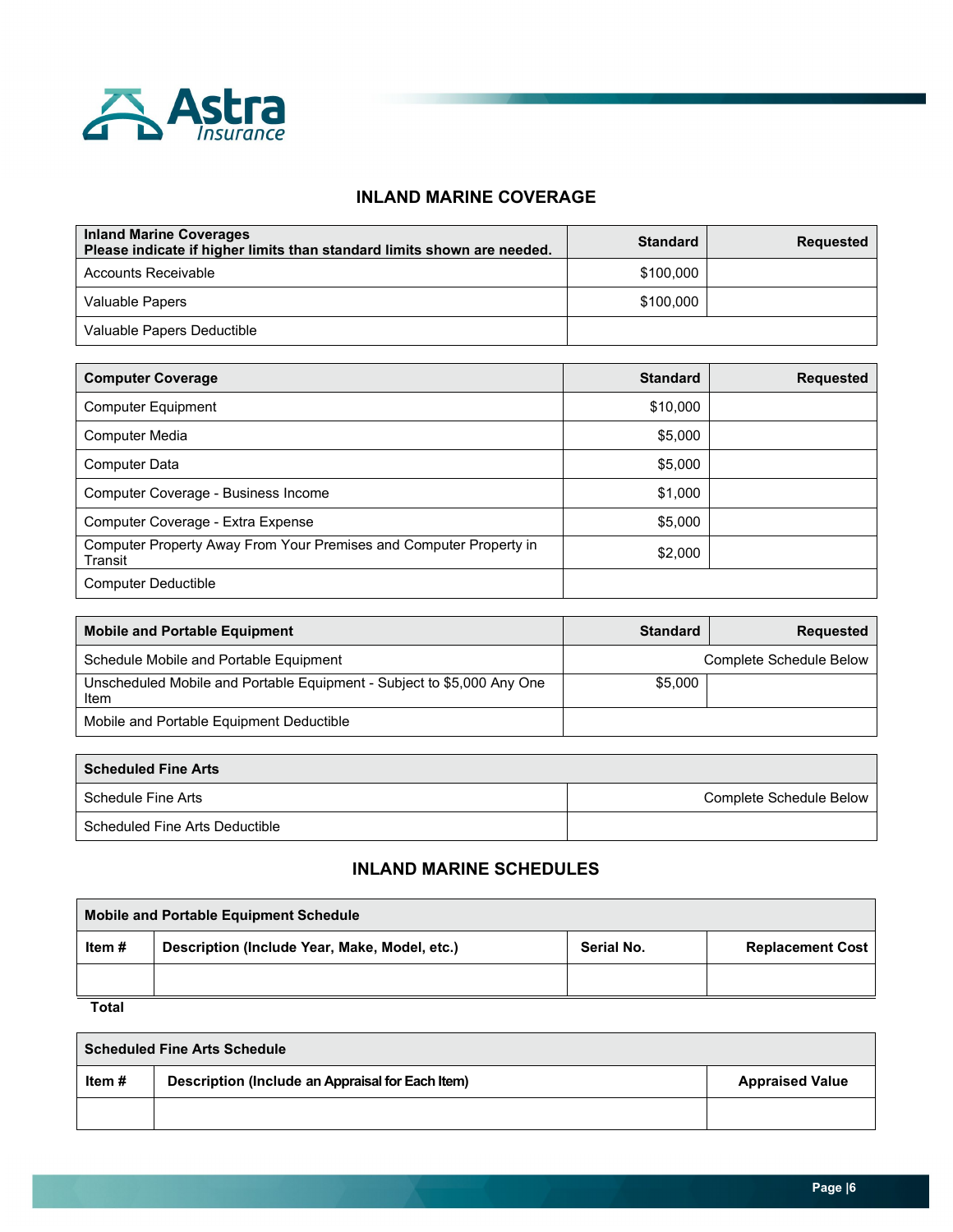

I.

### **INLAND MARINE COVERAGE**

| <b>Inland Marine Coverages</b><br>Please indicate if higher limits than standard limits shown are needed. | <b>Standard</b> | <b>Requested</b> |
|-----------------------------------------------------------------------------------------------------------|-----------------|------------------|
| Accounts Receivable                                                                                       | \$100,000       |                  |
| Valuable Papers                                                                                           | \$100,000       |                  |
| Valuable Papers Deductible                                                                                |                 |                  |

| <b>Computer Coverage</b>                                                      | <b>Standard</b> | <b>Requested</b> |
|-------------------------------------------------------------------------------|-----------------|------------------|
| <b>Computer Equipment</b>                                                     | \$10,000        |                  |
| <b>Computer Media</b>                                                         | \$5,000         |                  |
| <b>Computer Data</b>                                                          | \$5,000         |                  |
| Computer Coverage - Business Income                                           | \$1,000         |                  |
| Computer Coverage - Extra Expense                                             | \$5,000         |                  |
| Computer Property Away From Your Premises and Computer Property in<br>Transit | \$2,000         |                  |
| Computer Deductible                                                           |                 |                  |

| <b>Mobile and Portable Equipment</b>                                           | <b>Standard</b> | <b>Requested</b>        |
|--------------------------------------------------------------------------------|-----------------|-------------------------|
| Schedule Mobile and Portable Equipment                                         |                 | Complete Schedule Below |
| Unscheduled Mobile and Portable Equipment - Subject to \$5,000 Any One<br>Item | \$5,000         |                         |
| Mobile and Portable Equipment Deductible                                       |                 |                         |

| <b>Scheduled Fine Arts</b>     |                         |
|--------------------------------|-------------------------|
| Schedule Fine Arts             | Complete Schedule Below |
| Scheduled Fine Arts Deductible |                         |

# **INLAND MARINE SCHEDULES**

| <b>Mobile and Portable Equipment Schedule</b> |                                               |            |                         |
|-----------------------------------------------|-----------------------------------------------|------------|-------------------------|
| Item #                                        | Description (Include Year, Make, Model, etc.) | Serial No. | <b>Replacement Cost</b> |
|                                               |                                               |            |                         |
| Total                                         |                                               |            |                         |

**Scheduled Fine Arts Schedule Item #** Description (Include an Appraisal for Each Item) **Appraised Value Appraised Value**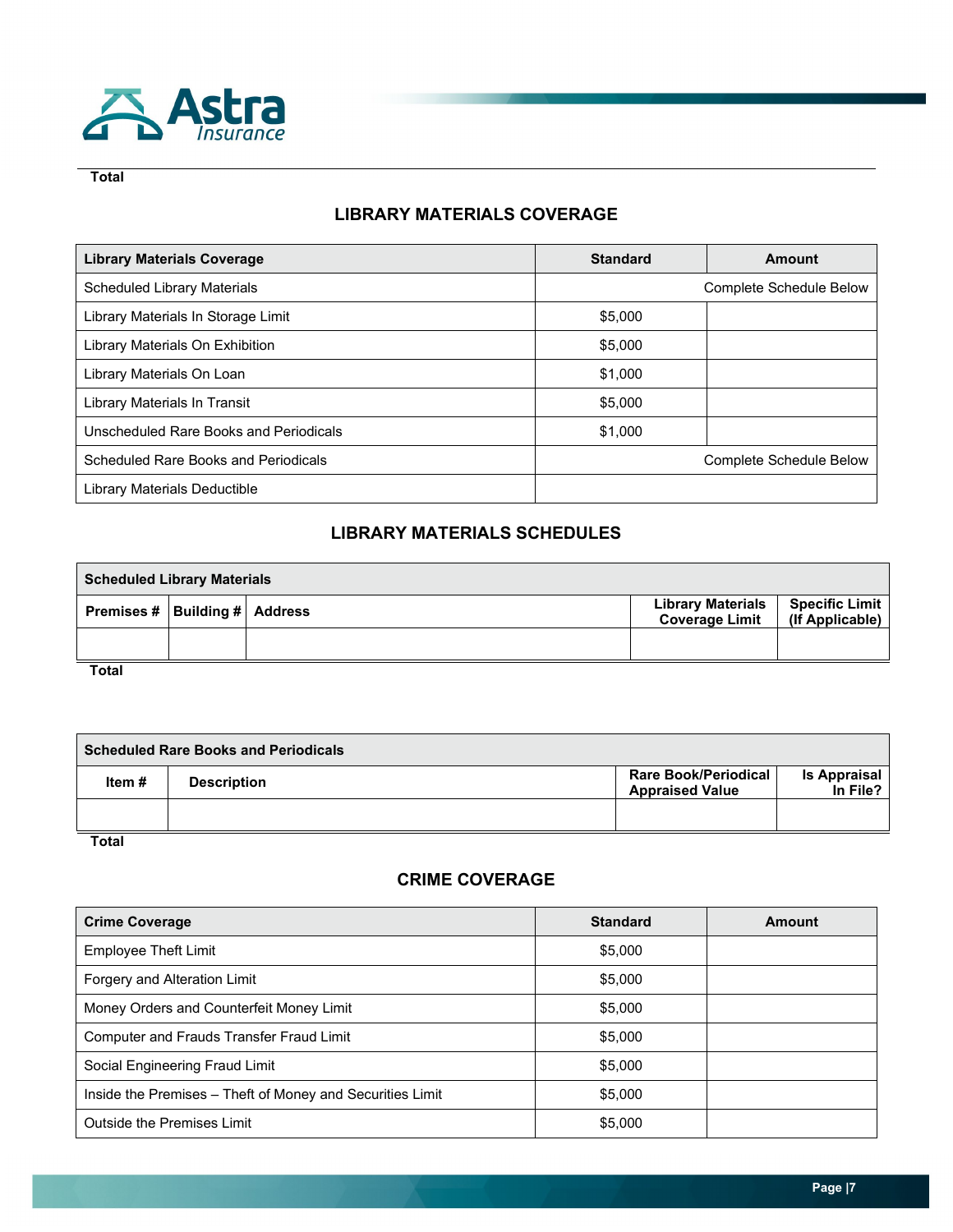

**Total**

# **LIBRARY MATERIALS COVERAGE**

| <b>Library Materials Coverage</b>      | <b>Standard</b>                | Amount |
|----------------------------------------|--------------------------------|--------|
| <b>Scheduled Library Materials</b>     | <b>Complete Schedule Below</b> |        |
| Library Materials In Storage Limit     | \$5,000                        |        |
| Library Materials On Exhibition        | \$5,000                        |        |
| Library Materials On Loan              | \$1,000                        |        |
| Library Materials In Transit           | \$5,000                        |        |
| Unscheduled Rare Books and Periodicals | \$1,000                        |        |
| Scheduled Rare Books and Periodicals   | Complete Schedule Below        |        |
| Library Materials Deductible           |                                |        |

# **LIBRARY MATERIALS SCHEDULES**

| <b>Scheduled Library Materials</b> |  |  |                                                   |                                          |
|------------------------------------|--|--|---------------------------------------------------|------------------------------------------|
| Premises #   Building #   Address  |  |  | <b>Library Materials</b><br><b>Coverage Limit</b> | <b>Specific Limit</b><br>(If Applicable) |
|                                    |  |  |                                                   |                                          |
| <b>Total</b>                       |  |  |                                                   |                                          |

**Scheduled Rare Books and Periodicals Item # Description Rare Book/Periodical Rare Book/Periodical Appraised Value Is Appraisal In File?**

**Total**

# **CRIME COVERAGE**

| <b>Crime Coverage</b>                                     | <b>Standard</b> | Amount |
|-----------------------------------------------------------|-----------------|--------|
| <b>Employee Theft Limit</b>                               | \$5,000         |        |
| Forgery and Alteration Limit                              | \$5,000         |        |
| Money Orders and Counterfeit Money Limit                  | \$5,000         |        |
| Computer and Frauds Transfer Fraud Limit                  | \$5,000         |        |
| Social Engineering Fraud Limit                            | \$5,000         |        |
| Inside the Premises - Theft of Money and Securities Limit | \$5,000         |        |
| Outside the Premises Limit                                | \$5,000         |        |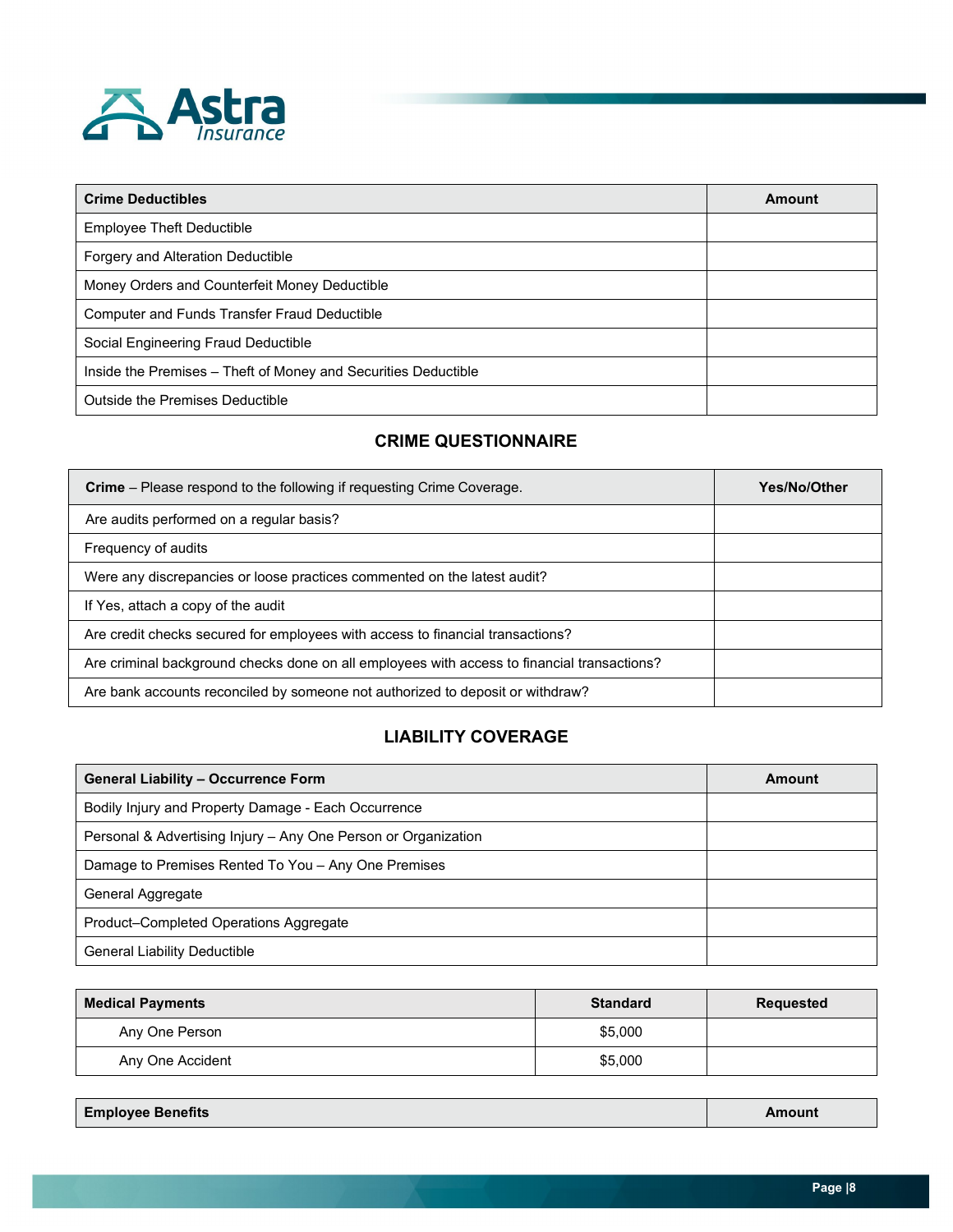

| <b>Crime Deductibles</b>                                       | Amount |
|----------------------------------------------------------------|--------|
| Employee Theft Deductible                                      |        |
| Forgery and Alteration Deductible                              |        |
| Money Orders and Counterfeit Money Deductible                  |        |
| Computer and Funds Transfer Fraud Deductible                   |        |
| Social Engineering Fraud Deductible                            |        |
| Inside the Premises - Theft of Money and Securities Deductible |        |
| Outside the Premises Deductible                                |        |

# **CRIME QUESTIONNAIRE**

| <b>Crime</b> – Please respond to the following if requesting Crime Coverage.                | Yes/No/Other |
|---------------------------------------------------------------------------------------------|--------------|
| Are audits performed on a regular basis?                                                    |              |
| Frequency of audits                                                                         |              |
| Were any discrepancies or loose practices commented on the latest audit?                    |              |
| If Yes, attach a copy of the audit                                                          |              |
| Are credit checks secured for employees with access to financial transactions?              |              |
| Are criminal background checks done on all employees with access to financial transactions? |              |
| Are bank accounts reconciled by someone not authorized to deposit or withdraw?              |              |

# **LIABILITY COVERAGE**

| <b>General Liability - Occurrence Form</b>                     | Amount |
|----------------------------------------------------------------|--------|
| Bodily Injury and Property Damage - Each Occurrence            |        |
| Personal & Advertising Injury - Any One Person or Organization |        |
| Damage to Premises Rented To You - Any One Premises            |        |
| General Aggregate                                              |        |
| Product–Completed Operations Aggregate                         |        |
| <b>General Liability Deductible</b>                            |        |

| <b>Medical Payments</b> | <b>Standard</b> | Requested |
|-------------------------|-----------------|-----------|
| Any One Person          | \$5,000         |           |
| Any One Accident        | \$5,000         |           |

| <b>Employee Benefits</b> | Amount |
|--------------------------|--------|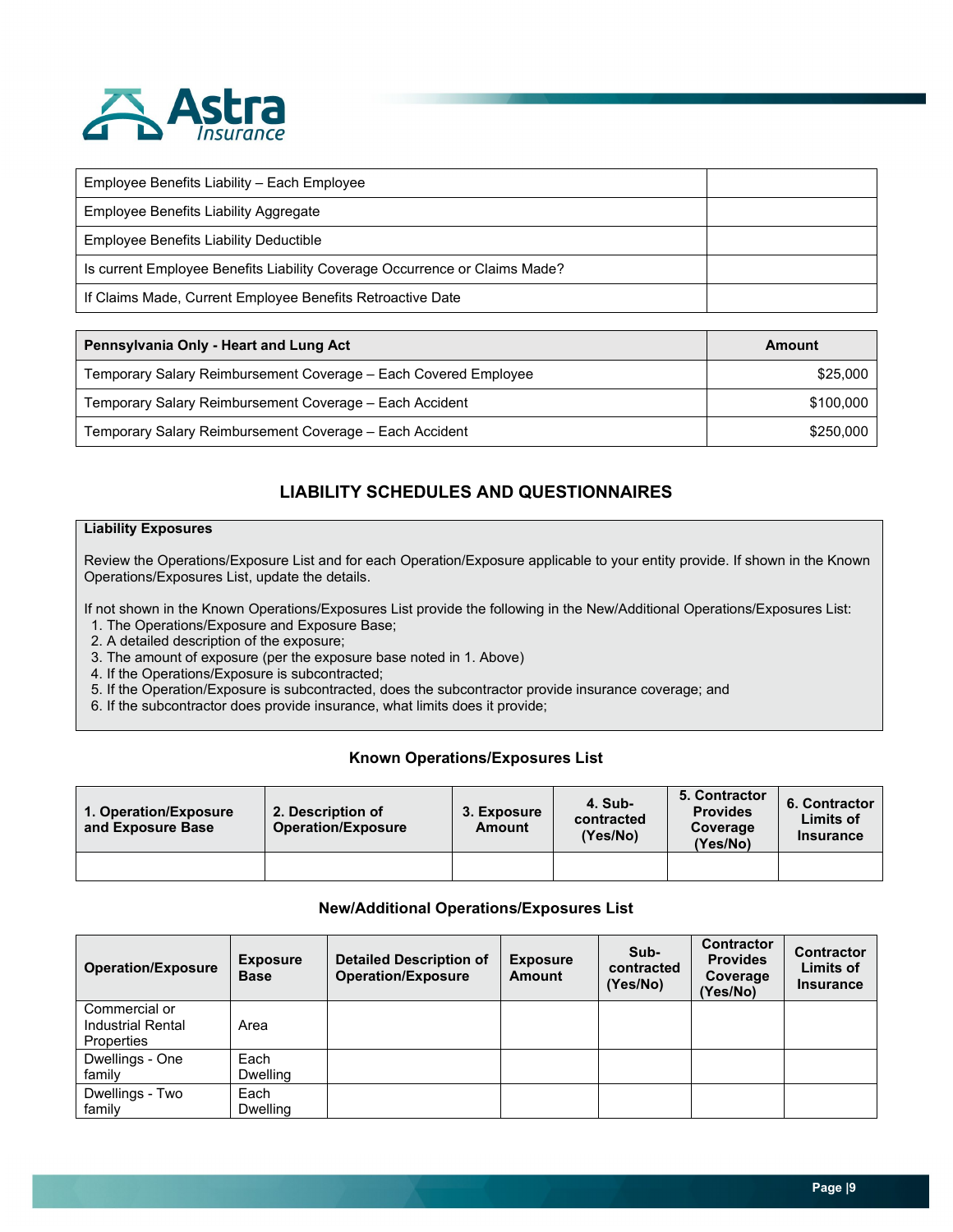

| Employee Benefits Liability – Each Employee                                |  |
|----------------------------------------------------------------------------|--|
| Employee Benefits Liability Aggregate                                      |  |
| Employee Benefits Liability Deductible                                     |  |
| Is current Employee Benefits Liability Coverage Occurrence or Claims Made? |  |
| If Claims Made, Current Employee Benefits Retroactive Date                 |  |

| Pennsylvania Only - Heart and Lung Act                          | Amount    |
|-----------------------------------------------------------------|-----------|
| Temporary Salary Reimbursement Coverage – Each Covered Employee | \$25,000  |
| Temporary Salary Reimbursement Coverage - Each Accident         | \$100.000 |
| Temporary Salary Reimbursement Coverage - Each Accident         | \$250,000 |

# **LIABILITY SCHEDULES AND QUESTIONNAIRES**

#### **Liability Exposures**

Review the Operations/Exposure List and for each Operation/Exposure applicable to your entity provide. If shown in the Known Operations/Exposures List, update the details.

If not shown in the Known Operations/Exposures List provide the following in the New/Additional Operations/Exposures List:

- 1. The Operations/Exposure and Exposure Base;
- 2. A detailed description of the exposure;
- 3. The amount of exposure (per the exposure base noted in 1. Above)
- 4. If the Operations/Exposure is subcontracted;
- 5. If the Operation/Exposure is subcontracted, does the subcontractor provide insurance coverage; and
- 6. If the subcontractor does provide insurance, what limits does it provide;

#### **Known Operations/Exposures List**

| 1. Operation/Exposure<br>and Exposure Base | 2. Description of<br><b>Operation/Exposure</b> | 3. Exposure<br>Amount | 4. Sub-<br>contracted<br>(Yes/No) | 5. Contractor<br><b>Provides</b><br>Coverage<br>(Yes/No) | 6. Contractor<br><b>Limits of</b><br><b>Insurance</b> |
|--------------------------------------------|------------------------------------------------|-----------------------|-----------------------------------|----------------------------------------------------------|-------------------------------------------------------|
|                                            |                                                |                       |                                   |                                                          |                                                       |

#### **New/Additional Operations/Exposures List**

| <b>Operation/Exposure</b>                        | <b>Exposure</b><br><b>Base</b> | <b>Detailed Description of</b><br><b>Operation/Exposure</b> | <b>Exposure</b><br>Amount | Sub-<br>contracted<br>(Yes/No) | <b>Contractor</b><br><b>Provides</b><br>Coverage<br>(Yes/No) | <b>Contractor</b><br>Limits of<br><b>Insurance</b> |
|--------------------------------------------------|--------------------------------|-------------------------------------------------------------|---------------------------|--------------------------------|--------------------------------------------------------------|----------------------------------------------------|
| Commercial or<br>Industrial Rental<br>Properties | Area                           |                                                             |                           |                                |                                                              |                                                    |
| Dwellings - One<br>family                        | Each<br><b>Dwelling</b>        |                                                             |                           |                                |                                                              |                                                    |
| Dwellings - Two<br>family                        | Each<br><b>Dwelling</b>        |                                                             |                           |                                |                                                              |                                                    |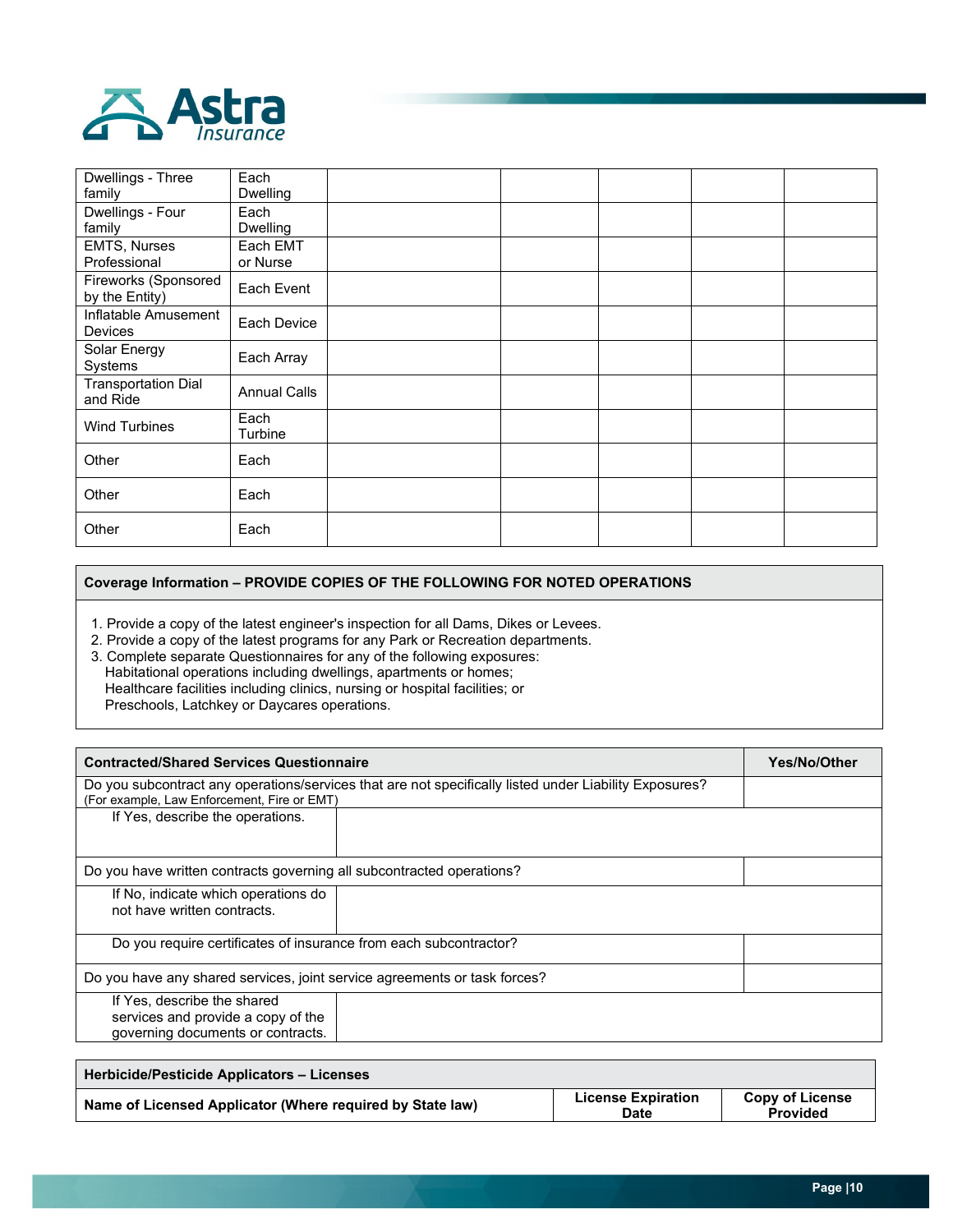

Г

| Dwellings - Three<br>family            | Each<br>Dwelling     |  |  |  |
|----------------------------------------|----------------------|--|--|--|
| Dwellings - Four                       | Each                 |  |  |  |
| family                                 | Dwelling             |  |  |  |
| <b>EMTS, Nurses</b><br>Professional    | Each EMT<br>or Nurse |  |  |  |
| Fireworks (Sponsored<br>by the Entity) | Each Event           |  |  |  |
| Inflatable Amusement<br>Devices        | Each Device          |  |  |  |
| Solar Energy<br>Systems                | Each Array           |  |  |  |
| <b>Transportation Dial</b><br>and Ride | <b>Annual Calls</b>  |  |  |  |
| <b>Wind Turbines</b>                   | Each<br>Turbine      |  |  |  |
| Other                                  | Each                 |  |  |  |
| Other                                  | Each                 |  |  |  |
| Other                                  | Each                 |  |  |  |

#### **Coverage Information – PROVIDE COPIES OF THE FOLLOWING FOR NOTED OPERATIONS**

1. Provide a copy of the latest engineer's inspection for all Dams, Dikes or Levees.

2. Provide a copy of the latest programs for any Park or Recreation departments.

3. Complete separate Questionnaires for any of the following exposures: Habitational operations including dwellings, apartments or homes; Healthcare facilities including clinics, nursing or hospital facilities; or Preschools, Latchkey or Daycares operations.

| <b>Yes/No/Other</b> |
|---------------------|
|                     |
|                     |
|                     |
|                     |
|                     |
|                     |
|                     |
|                     |

| Herbicide/Pesticide Applicators – Licenses                |                                   |                                           |
|-----------------------------------------------------------|-----------------------------------|-------------------------------------------|
| Name of Licensed Applicator (Where required by State law) | <b>License Expiration</b><br>Date | <b>Copy of License</b><br><b>Provided</b> |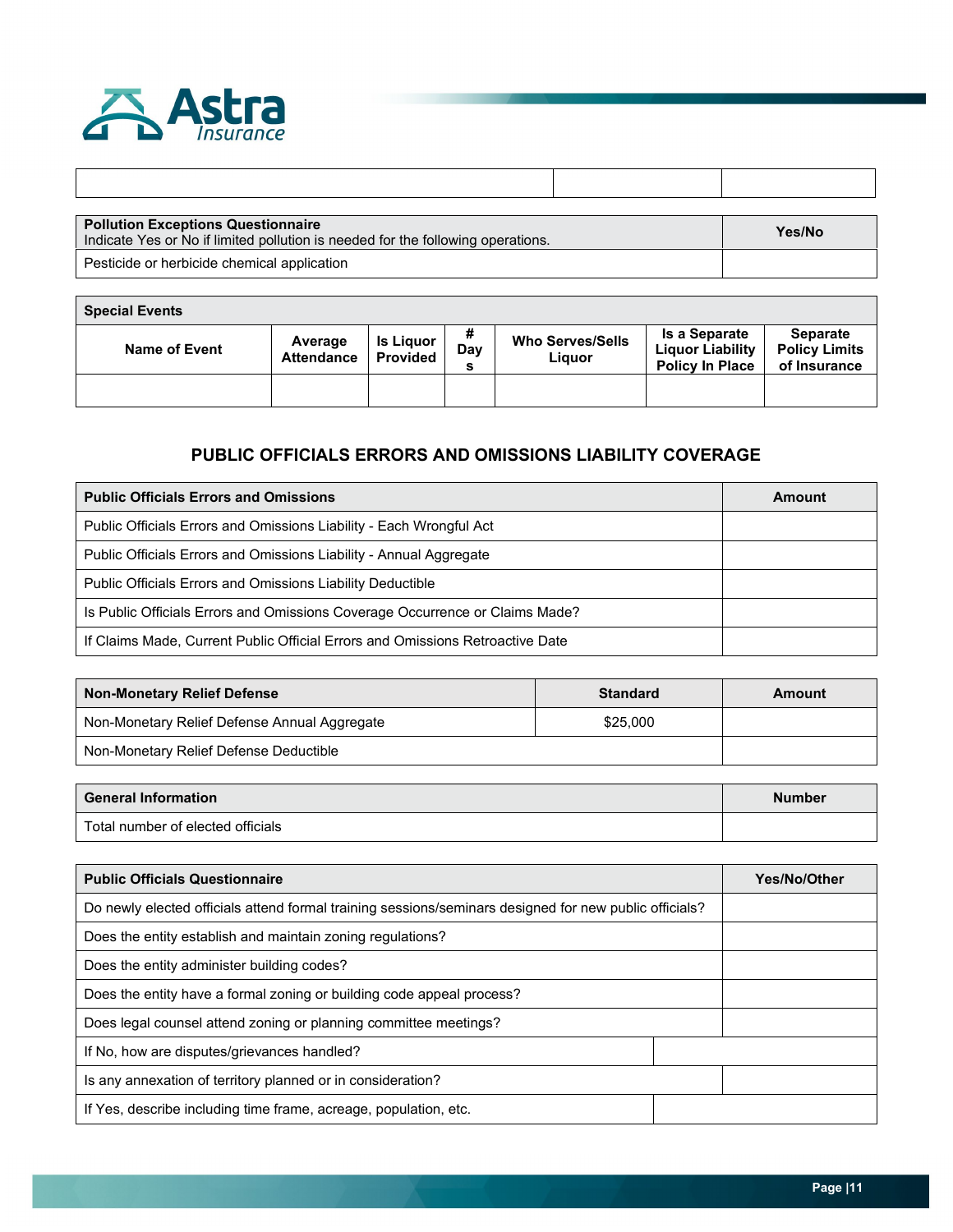

| <b>Pollution Exceptions Questionnaire</b><br>Indicate Yes or No if limited pollution is needed for the following operations. | Yes/No |
|------------------------------------------------------------------------------------------------------------------------------|--------|
| Pesticide or herbicide chemical application                                                                                  |        |

| <b>Special Events</b> |                              |                                     |                    |                                   |                                                                           |                                                         |
|-----------------------|------------------------------|-------------------------------------|--------------------|-----------------------------------|---------------------------------------------------------------------------|---------------------------------------------------------|
| <b>Name of Event</b>  | Average<br><b>Attendance</b> | <b>Is Liguor</b><br><b>Provided</b> | #<br>Dav<br>$\sim$ | <b>Who Serves/Sells</b><br>Liguor | <b>Is a Separate</b><br><b>Liquor Liability</b><br><b>Policy In Place</b> | <b>Separate</b><br><b>Policy Limits</b><br>of Insurance |
|                       |                              |                                     |                    |                                   |                                                                           |                                                         |

# **PUBLIC OFFICIALS ERRORS AND OMISSIONS LIABILITY COVERAGE**

| <b>Public Officials Errors and Omissions</b>                                  | Amount |
|-------------------------------------------------------------------------------|--------|
| Public Officials Errors and Omissions Liability - Each Wrongful Act           |        |
| Public Officials Errors and Omissions Liability - Annual Aggregate            |        |
| <b>Public Officials Errors and Omissions Liability Deductible</b>             |        |
| Is Public Officials Errors and Omissions Coverage Occurrence or Claims Made?  |        |
| If Claims Made, Current Public Official Errors and Omissions Retroactive Date |        |

| <b>Non-Monetary Relief Defense</b>           | <b>Standard</b> | Amount |
|----------------------------------------------|-----------------|--------|
| Non-Monetary Relief Defense Annual Aggregate | \$25,000        |        |
| Non-Monetary Relief Defense Deductible       |                 |        |

| <b>General Information</b>        | <b>Number</b> |
|-----------------------------------|---------------|
| Total number of elected officials |               |

| <b>Public Officials Questionnaire</b>                                                                  | Yes/No/Other |
|--------------------------------------------------------------------------------------------------------|--------------|
| Do newly elected officials attend formal training sessions/seminars designed for new public officials? |              |
| Does the entity establish and maintain zoning regulations?                                             |              |
| Does the entity administer building codes?                                                             |              |
| Does the entity have a formal zoning or building code appeal process?                                  |              |
| Does legal counsel attend zoning or planning committee meetings?                                       |              |
| If No, how are disputes/grievances handled?                                                            |              |
| Is any annexation of territory planned or in consideration?                                            |              |
| If Yes, describe including time frame, acreage, population, etc.                                       |              |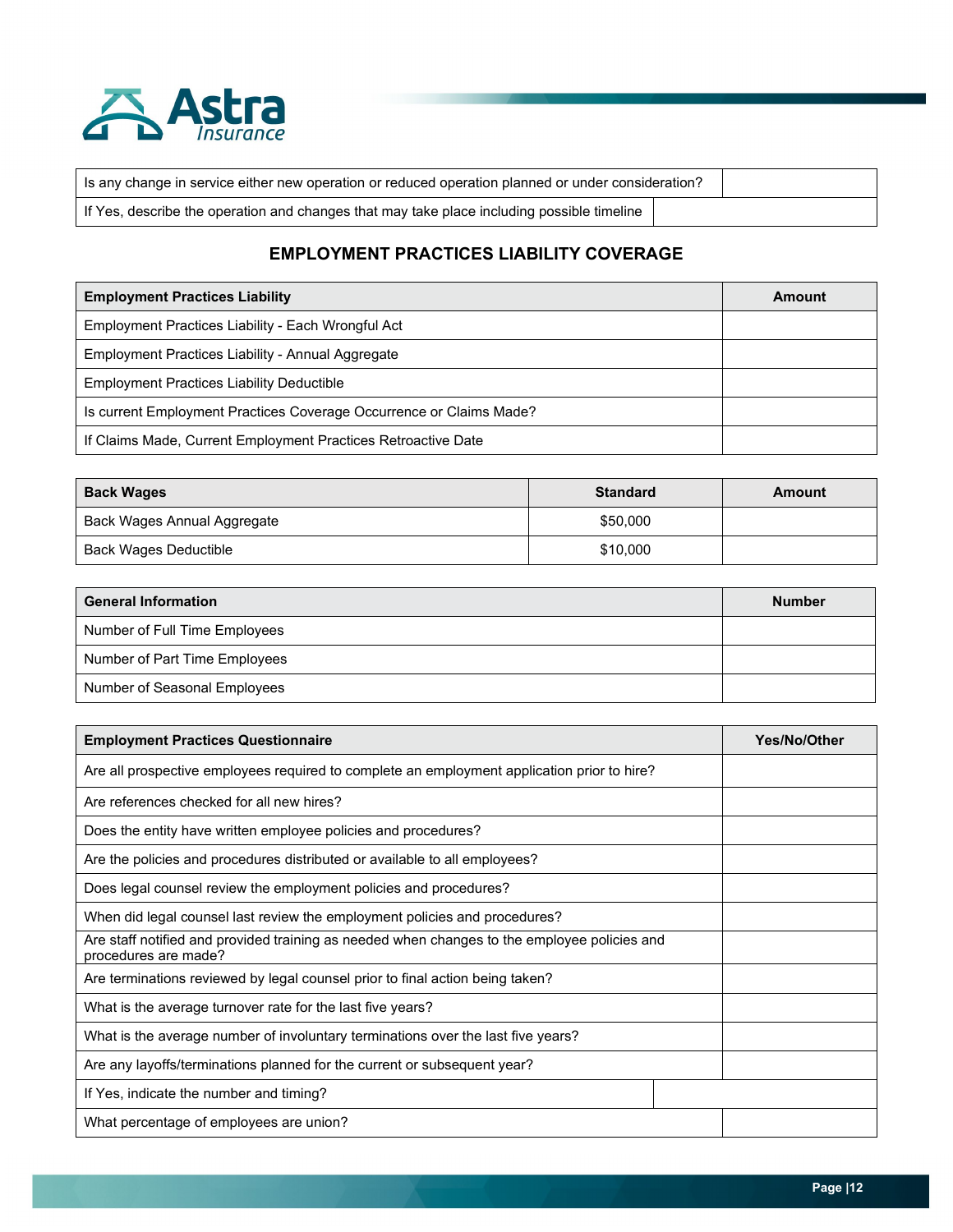

| Is any change in service either new operation or reduced operation planned or under consideration? |  |  |
|----------------------------------------------------------------------------------------------------|--|--|
| If Yes, describe the operation and changes that may take place including possible timeline         |  |  |

# **EMPLOYMENT PRACTICES LIABILITY COVERAGE**

| <b>Employment Practices Liability</b>                               | Amount |
|---------------------------------------------------------------------|--------|
| Employment Practices Liability - Each Wrongful Act                  |        |
| Employment Practices Liability - Annual Aggregate                   |        |
| <b>Employment Practices Liability Deductible</b>                    |        |
| Is current Employment Practices Coverage Occurrence or Claims Made? |        |
| If Claims Made, Current Employment Practices Retroactive Date       |        |

| <b>Back Wages</b>           | <b>Standard</b> | Amount |
|-----------------------------|-----------------|--------|
| Back Wages Annual Aggregate | \$50,000        |        |
| Back Wages Deductible       | \$10,000        |        |

| <b>General Information</b>    | <b>Number</b> |
|-------------------------------|---------------|
| Number of Full Time Employees |               |
| Number of Part Time Employees |               |
| Number of Seasonal Employees  |               |

| <b>Employment Practices Questionnaire</b>                                                                            | Yes/No/Other |
|----------------------------------------------------------------------------------------------------------------------|--------------|
| Are all prospective employees required to complete an employment application prior to hire?                          |              |
| Are references checked for all new hires?                                                                            |              |
| Does the entity have written employee policies and procedures?                                                       |              |
| Are the policies and procedures distributed or available to all employees?                                           |              |
| Does legal counsel review the employment policies and procedures?                                                    |              |
| When did legal counsel last review the employment policies and procedures?                                           |              |
| Are staff notified and provided training as needed when changes to the employee policies and<br>procedures are made? |              |
| Are terminations reviewed by legal counsel prior to final action being taken?                                        |              |
| What is the average turnover rate for the last five years?                                                           |              |
| What is the average number of involuntary terminations over the last five years?                                     |              |
| Are any layoffs/terminations planned for the current or subsequent year?                                             |              |
| If Yes, indicate the number and timing?                                                                              |              |
| What percentage of employees are union?                                                                              |              |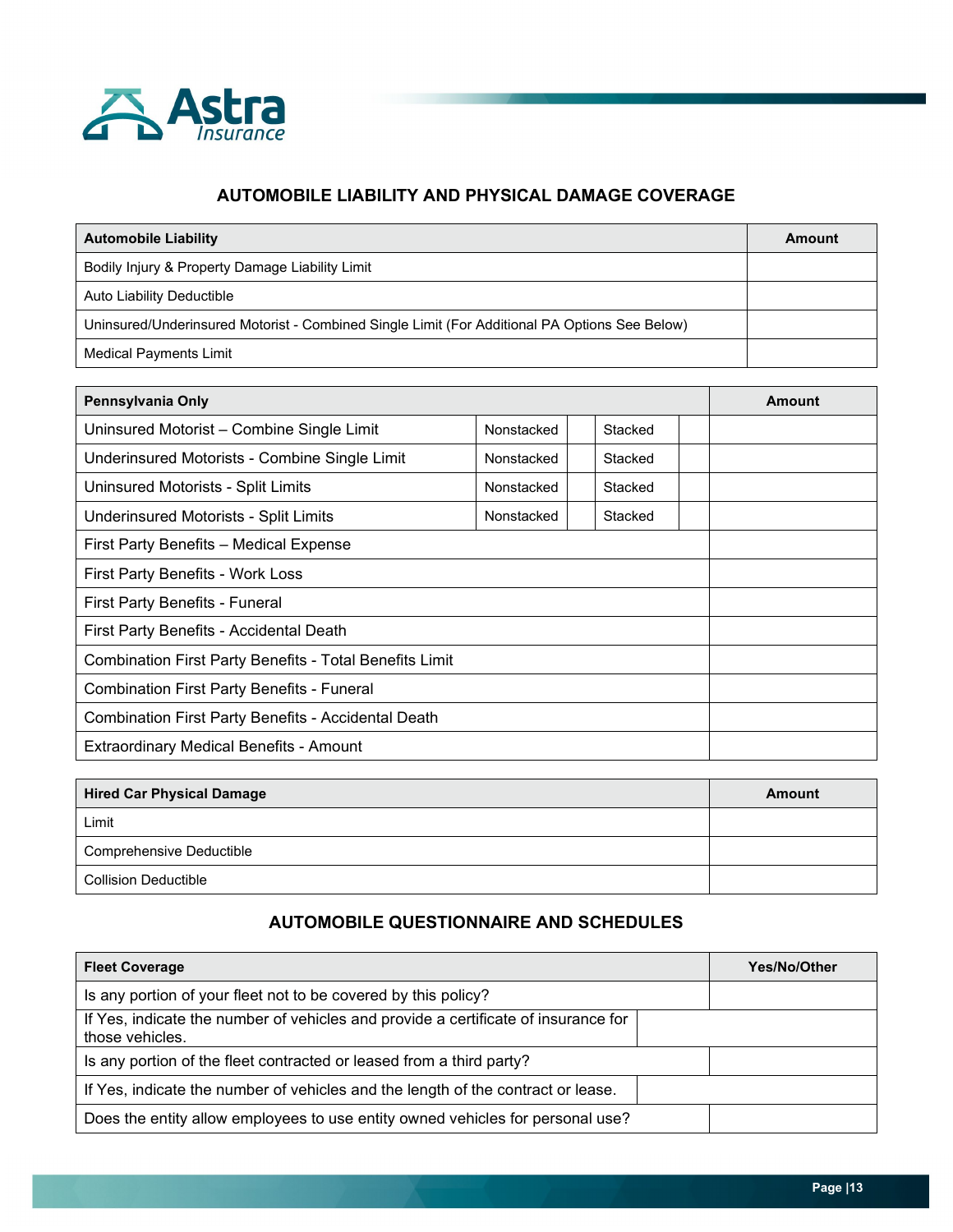

## **AUTOMOBILE LIABILITY AND PHYSICAL DAMAGE COVERAGE**

| <b>Automobile Liability</b>                                                                   | Amount |
|-----------------------------------------------------------------------------------------------|--------|
| Bodily Injury & Property Damage Liability Limit                                               |        |
| Auto Liability Deductible                                                                     |        |
| Uninsured/Underinsured Motorist - Combined Single Limit (For Additional PA Options See Below) |        |
| <b>Medical Payments Limit</b>                                                                 |        |

| Pennsylvania Only                                              | Amount                |  |         |  |  |  |  |  |  |
|----------------------------------------------------------------|-----------------------|--|---------|--|--|--|--|--|--|
| Uninsured Motorist - Combine Single Limit                      |                       |  |         |  |  |  |  |  |  |
| Underinsured Motorists - Combine Single Limit                  | Nonstacked            |  | Stacked |  |  |  |  |  |  |
| Uninsured Motorists - Split Limits                             | Nonstacked<br>Stacked |  |         |  |  |  |  |  |  |
| Underinsured Motorists - Split Limits                          |                       |  |         |  |  |  |  |  |  |
| First Party Benefits - Medical Expense                         |                       |  |         |  |  |  |  |  |  |
| First Party Benefits - Work Loss                               |                       |  |         |  |  |  |  |  |  |
| First Party Benefits - Funeral                                 |                       |  |         |  |  |  |  |  |  |
| First Party Benefits - Accidental Death                        |                       |  |         |  |  |  |  |  |  |
| <b>Combination First Party Benefits - Total Benefits Limit</b> |                       |  |         |  |  |  |  |  |  |
| <b>Combination First Party Benefits - Funeral</b>              |                       |  |         |  |  |  |  |  |  |
| <b>Combination First Party Benefits - Accidental Death</b>     |                       |  |         |  |  |  |  |  |  |
| <b>Extraordinary Medical Benefits - Amount</b>                 |                       |  |         |  |  |  |  |  |  |

| <b>Hired Car Physical Damage</b> | <b>Amount</b> |
|----------------------------------|---------------|
| Limit                            |               |
| <b>Comprehensive Deductible</b>  |               |
| <b>Collision Deductible</b>      |               |

# **AUTOMOBILE QUESTIONNAIRE AND SCHEDULES**

| <b>Fleet Coverage</b>                                                                                 | <b>Yes/No/Other</b> |
|-------------------------------------------------------------------------------------------------------|---------------------|
| Is any portion of your fleet not to be covered by this policy?                                        |                     |
| If Yes, indicate the number of vehicles and provide a certificate of insurance for<br>those vehicles. |                     |
| Is any portion of the fleet contracted or leased from a third party?                                  |                     |
| If Yes, indicate the number of vehicles and the length of the contract or lease.                      |                     |
| Does the entity allow employees to use entity owned vehicles for personal use?                        |                     |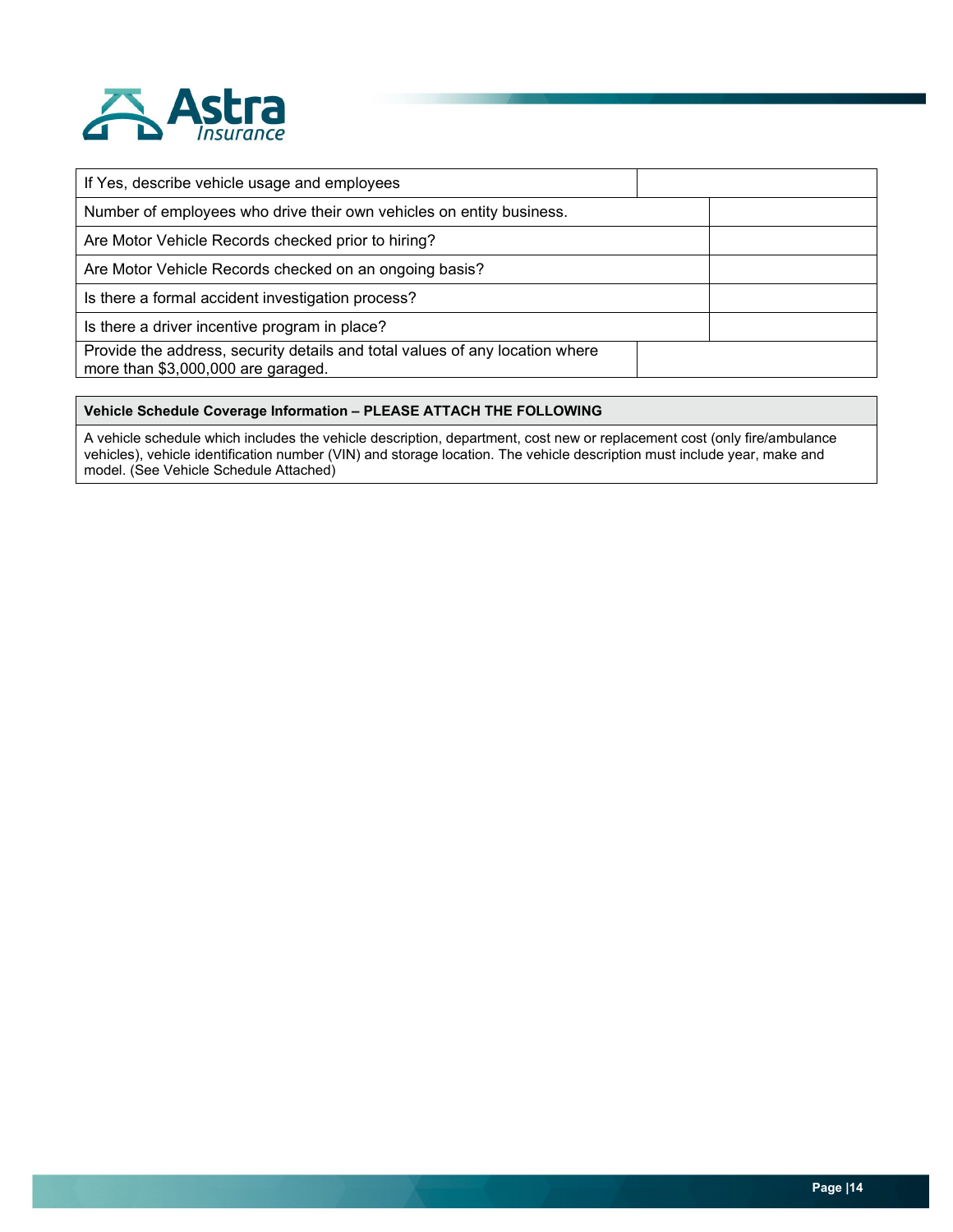

| If Yes, describe vehicle usage and employees                                                                       |  |
|--------------------------------------------------------------------------------------------------------------------|--|
| Number of employees who drive their own vehicles on entity business.                                               |  |
| Are Motor Vehicle Records checked prior to hiring?                                                                 |  |
| Are Motor Vehicle Records checked on an ongoing basis?                                                             |  |
| Is there a formal accident investigation process?                                                                  |  |
| Is there a driver incentive program in place?                                                                      |  |
| Provide the address, security details and total values of any location where<br>more than \$3,000,000 are garaged. |  |

#### **Vehicle Schedule Coverage Information – PLEASE ATTACH THE FOLLOWING**

A vehicle schedule which includes the vehicle description, department, cost new or replacement cost (only fire/ambulance vehicles), vehicle identification number (VIN) and storage location. The vehicle description must include year, make and model. (See Vehicle Schedule Attached)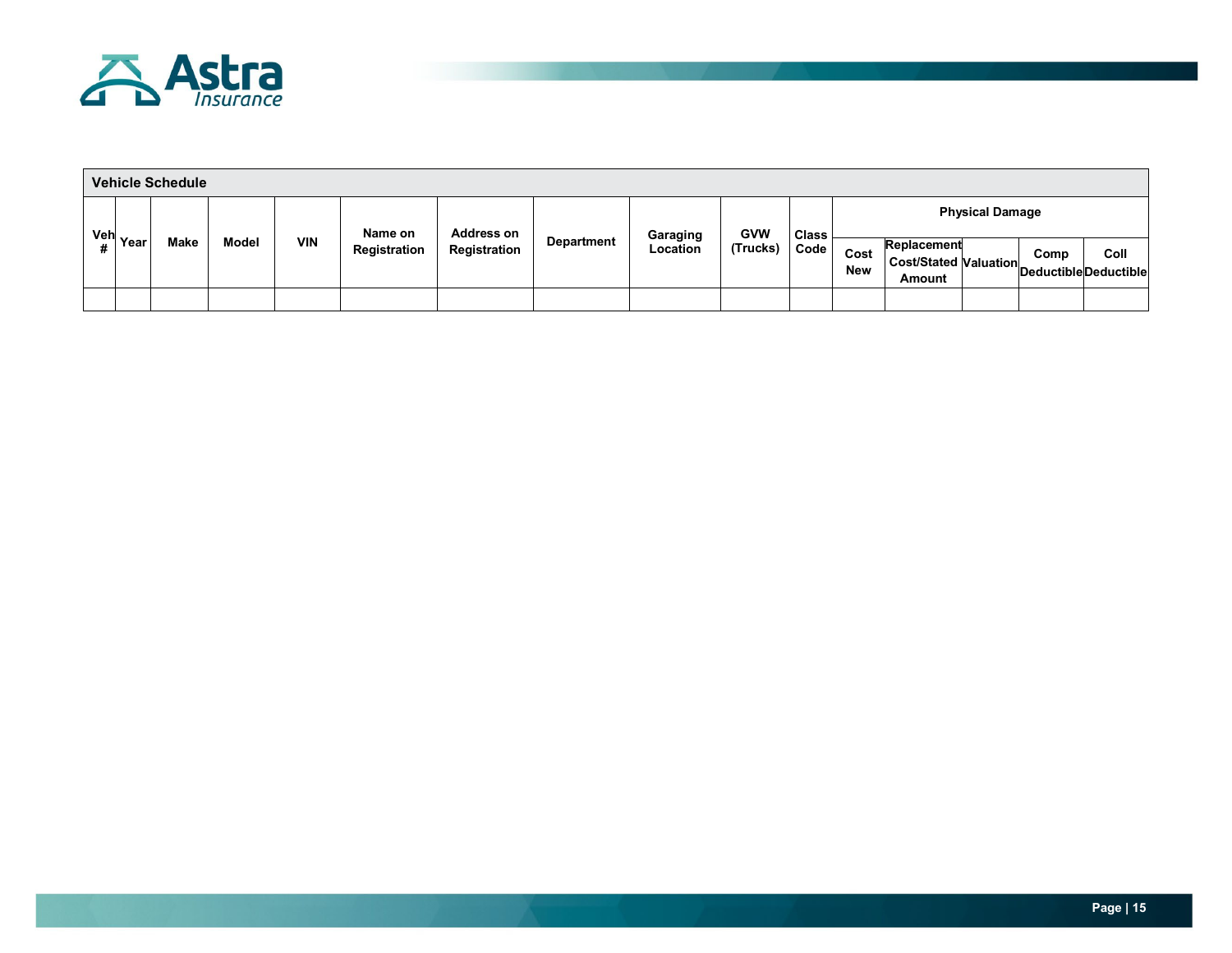

| <b>Vehicle Schedule</b> |                      |      |              |            |                                              |  |              |                   |                      |                                                |                    |                                                       |  |                        |                                     |  |
|-------------------------|----------------------|------|--------------|------------|----------------------------------------------|--|--------------|-------------------|----------------------|------------------------------------------------|--------------------|-------------------------------------------------------|--|------------------------|-------------------------------------|--|
|                         |                      |      | <b>Model</b> | <b>VIN</b> | <b>Address on</b><br>Name on<br>Registration |  |              | <b>Department</b> |                      | <b>GVW</b><br><b>Class</b><br>(Trucks)<br>Code |                    |                                                       |  | <b>Physical Damage</b> |                                     |  |
|                         | <sup>Veh</sup> Year」 | Make |              |            |                                              |  | Registration |                   | Garaging<br>Location |                                                | Cost<br><b>New</b> | Replacement<br><b>Cost/Stated Valuation</b><br>Amount |  | Comp                   | Coll<br><b>DeductibleDeductible</b> |  |
|                         |                      |      |              |            |                                              |  |              |                   |                      |                                                |                    |                                                       |  |                        |                                     |  |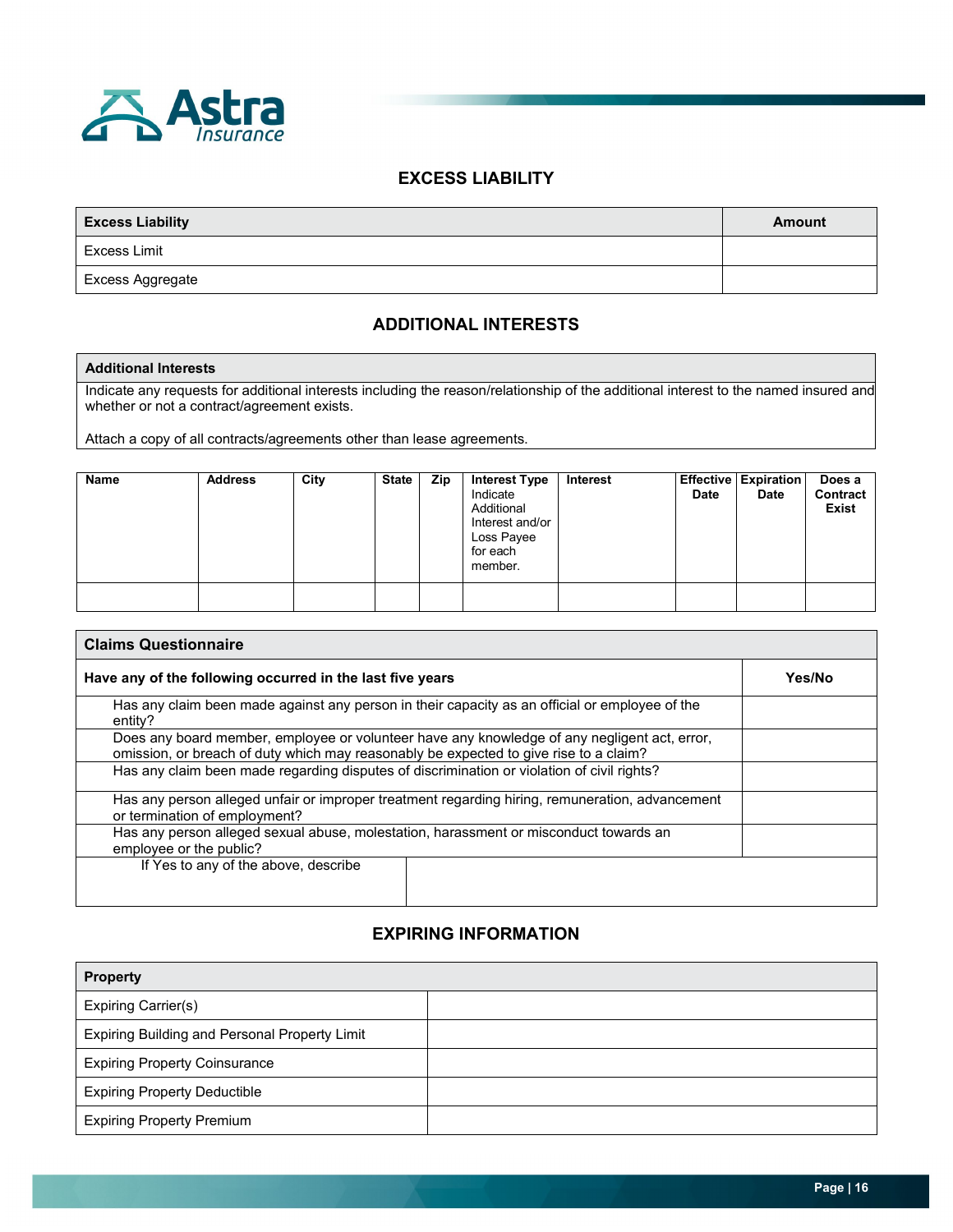

### **EXCESS LIABILITY**

| <b>Excess Liability</b> | <b>Amount</b> |
|-------------------------|---------------|
| Excess Limit            |               |
| Excess Aggregate        |               |

## **ADDITIONAL INTERESTS**

#### **Additional Interests**

Indicate any requests for additional interests including the reason/relationship of the additional interest to the named insured and whether or not a contract/agreement exists.

Attach a copy of all contracts/agreements other than lease agreements.

| <b>Name</b> | <b>Address</b> | City | <b>State</b> | Zip | <b>Interest Type</b><br>Indicate<br>Additional<br>Interest and/or<br>Loss Payee<br>for each<br>member. | Interest | <b>Date</b> | <b>Effective Expiration</b><br><b>Date</b> | Does a<br>Contract<br><b>Exist</b> |
|-------------|----------------|------|--------------|-----|--------------------------------------------------------------------------------------------------------|----------|-------------|--------------------------------------------|------------------------------------|
|             |                |      |              |     |                                                                                                        |          |             |                                            |                                    |

| <b>Claims Questionnaire</b>                                                                                                                                                           |        |  |  |
|---------------------------------------------------------------------------------------------------------------------------------------------------------------------------------------|--------|--|--|
| Have any of the following occurred in the last five years                                                                                                                             | Yes/No |  |  |
| Has any claim been made against any person in their capacity as an official or employee of the<br>entity?                                                                             |        |  |  |
| Does any board member, employee or volunteer have any knowledge of any negligent act, error,<br>omission, or breach of duty which may reasonably be expected to give rise to a claim? |        |  |  |
| Has any claim been made regarding disputes of discrimination or violation of civil rights?                                                                                            |        |  |  |
| Has any person alleged unfair or improper treatment regarding hiring, remuneration, advancement<br>or termination of employment?                                                      |        |  |  |
| Has any person alleged sexual abuse, molestation, harassment or misconduct towards an<br>employee or the public?                                                                      |        |  |  |
| If Yes to any of the above, describe                                                                                                                                                  |        |  |  |
|                                                                                                                                                                                       |        |  |  |

### **EXPIRING INFORMATION**

| <b>Property</b>                               |  |  |
|-----------------------------------------------|--|--|
| <b>Expiring Carrier(s)</b>                    |  |  |
| Expiring Building and Personal Property Limit |  |  |
| <b>Expiring Property Coinsurance</b>          |  |  |
| <b>Expiring Property Deductible</b>           |  |  |
| <b>Expiring Property Premium</b>              |  |  |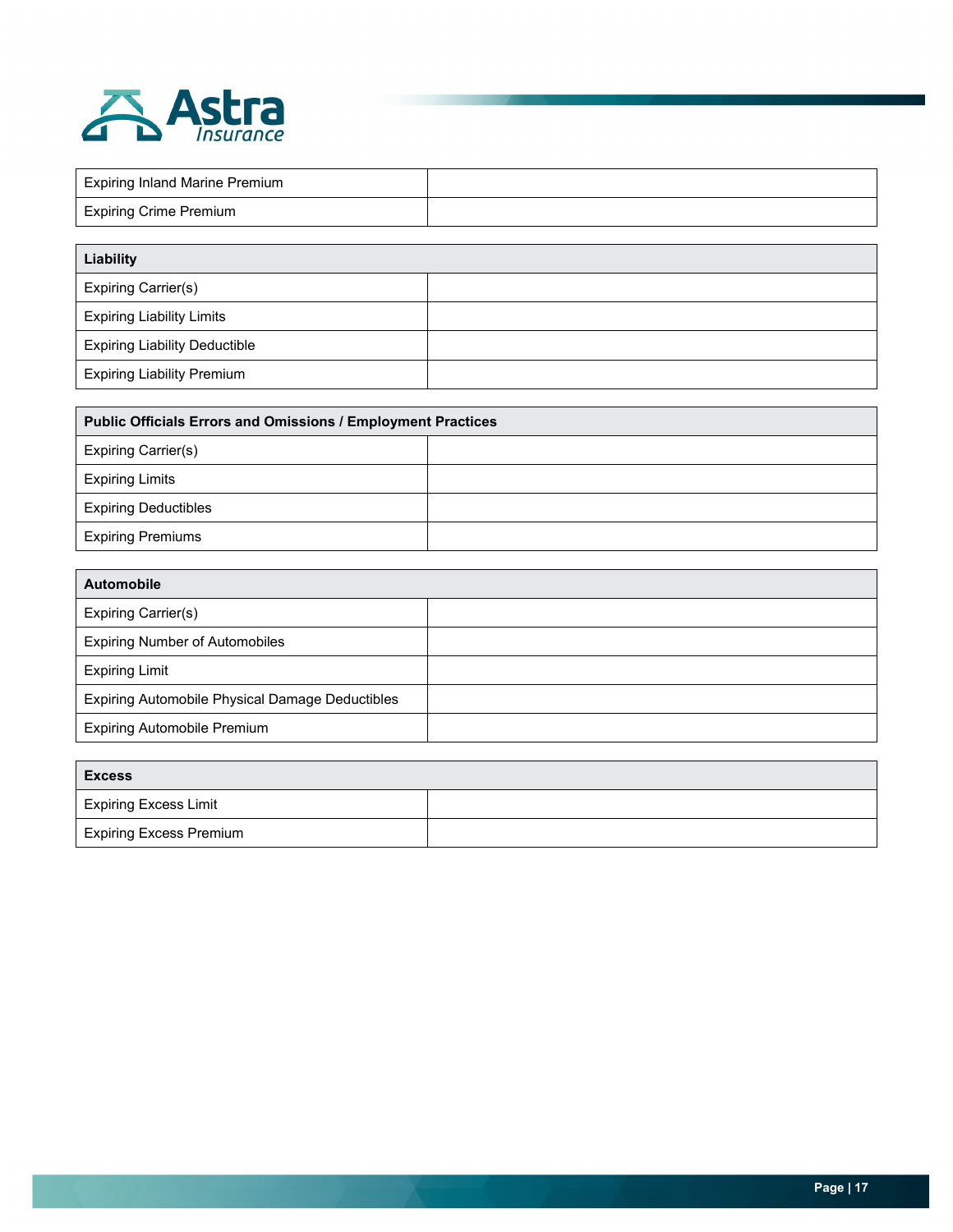

| <b>Expiring Inland Marine Premium</b> |  |
|---------------------------------------|--|
| <b>Expiring Crime Premium</b>         |  |

| Liability                            |  |
|--------------------------------------|--|
| Expiring Carrier(s)                  |  |
| <b>Expiring Liability Limits</b>     |  |
| <b>Expiring Liability Deductible</b> |  |
| <b>Expiring Liability Premium</b>    |  |

| <b>Public Officials Errors and Omissions / Employment Practices</b> |  |  |  |
|---------------------------------------------------------------------|--|--|--|
| Expiring Carrier(s)                                                 |  |  |  |
| <b>Expiring Limits</b>                                              |  |  |  |
| <b>Expiring Deductibles</b>                                         |  |  |  |
| <b>Expiring Premiums</b>                                            |  |  |  |

| <b>Automobile</b>                               |  |
|-------------------------------------------------|--|
| <b>Expiring Carrier(s)</b>                      |  |
| <b>Expiring Number of Automobiles</b>           |  |
| <b>Expiring Limit</b>                           |  |
| Expiring Automobile Physical Damage Deductibles |  |
| <b>Expiring Automobile Premium</b>              |  |

| <b>Excess</b>                  |  |  |  |
|--------------------------------|--|--|--|
| <b>Expiring Excess Limit</b>   |  |  |  |
| <b>Expiring Excess Premium</b> |  |  |  |